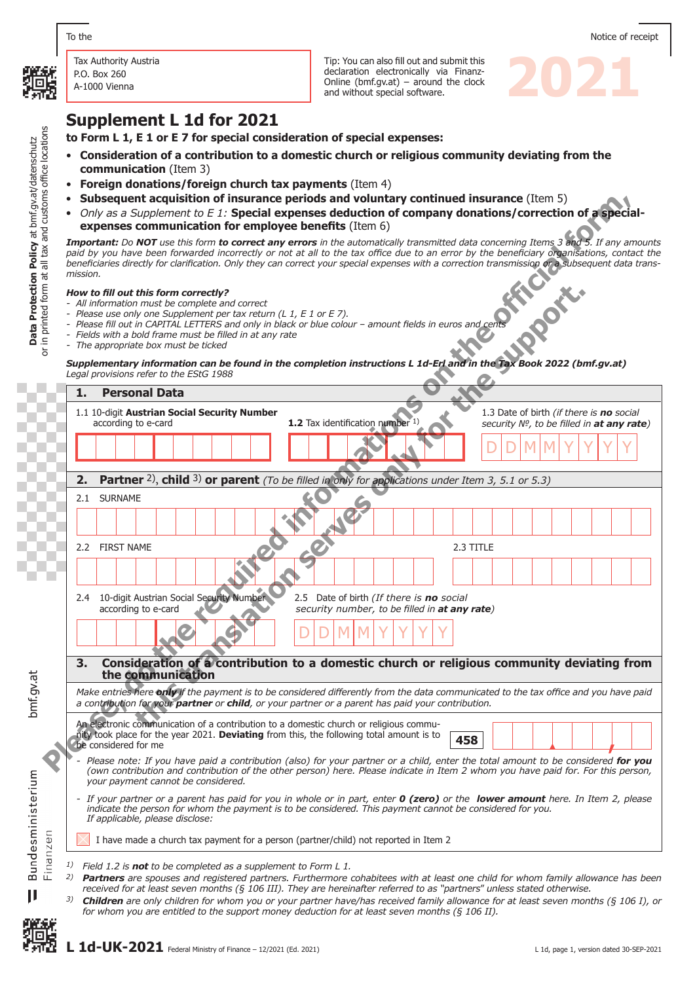

Tax Authority Austria P.O. Box 260 A-1000 Vienna

Tip: You can also fill out and submit this<br>declaration electronically via Finanz-<br>Online (bmf.gv.at) – around the clock<br>and without special software. declaration electronically via Finanz-Online (bmf.gv.at) – around the clock and without special software.

# **Supplement L 1d for 2021**

**to Form L 1, E 1 or E 7 for special consideration of special expenses:** 

- **Consideration of a contribution to a domestic church or religious community deviating from the communication** (Item 3)
- **Foreign donations/foreign church tax payments** (Item 4)
- **Subsequent acquisition of insurance periods and voluntary continued insurance** (Item 5)
- *Only as a Supplement to E 1:* **Special expenses deduction of company donations/correction of a special- expenses communication for employee benefits** (Item 6)

*Important: Do NOT use this form to correct any errors in the automatically transmitted data concerning Items 3 and 5. If any amounts*  paid by you have been forwarded incorrectly or not at all to the tax office due to an error by the beneficiary organisations, contact the *beneficiaries directly for clarification. Only they can correct your special expenses with a correction transmission or a subsequent data transmission.*

#### *How to fill out this form correctly?*

- *- All information must be complete and correct*
- *- Please use only one Supplement per tax return (L 1, E 1 or E 7).*
- *- Please fill out in CAPITAL LETTERS and only in black or blue colour amount fields in euros and cents*
- *- Fields with a bold frame must be filled in at any rate*
- *- The appropriate box must be ticked*

*Supplementary information can be found in the completion instructions L 1d-Erl and in the Tax Book 2022 (bmf.gv.at) Legal provisions refer to the EStG 1988*

- **Plushed in the required information of instance periods and volume information (EUP)**<br> **Plushed in the replace of the replace on the replace of the replace on the official filler information of employment control form an** this form correctly for the three is no social server that the supplement per tax restricts on a support on the support of the support of the support of the support of the support of the support of the support of the suppo **1. Personal Data** 1.1 10-digit **Austrian Social Security Number** 1.3 Date of birth *(if there is no social*  according to e-card **1.2** Tax identification number <sup>1)</sup> *security №, to be filled in at any rate)*  $D$   $D$   $M$   $M$   $Y$   $Y$   $Y$   $Y$ **2. Partner** 2), **child** 3) **or parent** *(To be filled in only for applications under Item 3, 5.1 or 5.3)* 2.1 SURNAME 2.2 FIRST NAME 2.3 TITLE 2.4 10-digit Austrian Social Security Number 2.5 Date of birth *(If there is no* social security number, to be filled in **at any** security number, to be filled in **at any rate**)  $D$   $D$   $M$   $M$   $Y$   $Y$   $Y$   $Y$ **3. Consideration of a contribution to a domestic church or religious community deviating from the communication** *Make entries here only if the payment is to be considered differently from the data communicated to the tax office and you have paid a contribution for your partner or child, or your partner or a parent has paid your contribution.* An electronic communication of a contribution to a domestic church or religious community took place for the year 2021. **Deviating** from this, the following total amount is to be considered for me **458** *- Please note: If you have paid a contribution (also) for your partner or a child, enter the total amount to be considered for you (own contribution and contribution of the other person) here. Please indicate in Item 2 whom you have paid for. For this person, your payment cannot be considered. - If your partner or a parent has paid for you in whole or in part, enter 0 (zero) or the lower amount here. In Item 2, please indicate the person for whom the payment is to be considered. This payment cannot be considered for you. If applicable, please disclose:* Finanzen I have made a church tax payment for a person (partner/child) not reported in Item 2 *1) Field 1.2 is not to be completed as a supplement to Form L 1.* <sup>2)</sup> **Partners** are spouses and registered partners. Furthermore cohabitees with at least one child for whom family allowance has been *received for at least seven months (§ 106 III). They are hereinafter referred to as "partners*" *unless stated otherwise.*
	- *3) Children are only children for whom you or your partner have/has received family allowance for at least seven months (§ 106 I), or for whom you are entitled to the support money deduction for at least seven months (§ 106 II).*

bmf.gv.at

Bundesministerium

 $\mathbf{I}$ 

L 1d-UK-2021 Federal Ministry of Finance – 12/2021 (Ed. 2021) L 1d, page 1, version dated 30-SEP-2021